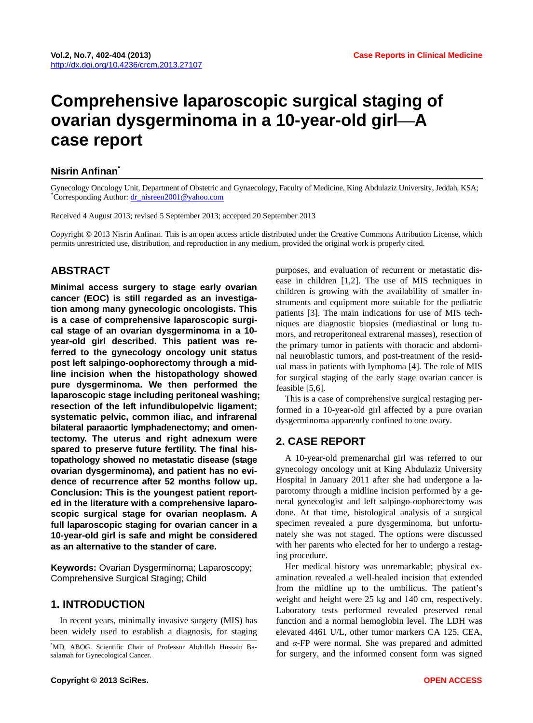# **Comprehensive laparoscopic surgical staging of ovarian dysgerminoma in a 10-year-old girl—A case report**

#### **Nisrin Anfinan\***

Gynecology Oncology Unit, Department of Obstetric and Gynaecology, Faculty of Medicine, King Abdulaziz University, Jeddah, KSA; \* <sup>\*</sup>Corresponding Author: dr\_nisreen2001@yahoo.com

Received 4 August 2013; revised 5 September 2013; accepted 20 September 2013

Copyright © 2013 Nisrin Anfinan. This is an open access article distributed under the Creative Commons Attribution License, which permits unrestricted use, distribution, and reproduction in any medium, provided the original work is properly cited.

# **ABSTRACT**

**Minimal access surgery to stage early ovarian cancer (EOC) is still regarded as an investigation among many gynecologic oncologists. This is a case of comprehensive laparoscopic surgical stage of an ovarian dysgerminoma in a 10 year-old girl described. This patient was referred to the gynecology oncology unit status post left salpingo-oophorectomy through a midline incision when the histopathology showed pure dysgerminoma. We then performed the laparoscopic stage including peritoneal washing; resection of the left infundibulopelvic ligament; systematic pelvic, common iliac, and infrarenal bilateral paraaortic lymphadenectomy; and omentectomy. The uterus and right adnexum were spared to preserve future fertility. The final histopathology showed no metastatic disease (stage ovarian dysgerminoma), and patient has no evidence of recurrence after 52 months follow up. Conclusion: This is the youngest patient reported in the literature with a comprehensive laparoscopic surgical stage for ovarian neoplasm. A full laparoscopic staging for ovarian cancer in a 10-year-old girl is safe and might be considered as an alternative to the stander of care.** 

**Keywords:** Ovarian Dysgerminoma; Laparoscopy; Comprehensive Surgical Staging; Child

## **1. INTRODUCTION**

In recent years, minimally invasive surgery (MIS) has been widely used to establish a diagnosis, for staging purposes, and evaluation of recurrent or metastatic disease in children [1,2]. The use of MIS techniques in children is growing with the availability of smaller instruments and equipment more suitable for the pediatric patients [3]. The main indications for use of MIS techniques are diagnostic biopsies (mediastinal or lung tumors, and retroperitoneal extrarenal masses), resection of the primary tumor in patients with thoracic and abdominal neuroblastic tumors, and post-treatment of the residual mass in patients with lymphoma [4]. The role of MIS for surgical staging of the early stage ovarian cancer is feasible [5,6].

This is a case of comprehensive surgical restaging performed in a 10-year-old girl affected by a pure ovarian dysgerminoma apparently confined to one ovary.

## **2. CASE REPORT**

A 10-year-old premenarchal girl was referred to our gynecology oncology unit at King Abdulaziz University Hospital in January 2011 after she had undergone a laparotomy through a midline incision performed by a general gynecologist and left salpingo-oophorectomy was done. At that time, histological analysis of a surgical specimen revealed a pure dysgerminoma, but unfortunately she was not staged. The options were discussed with her parents who elected for her to undergo a restaging procedure.

Her medical history was unremarkable; physical examination revealed a well-healed incision that extended from the midline up to the umbilicus. The patient's weight and height were 25 kg and 140 cm, respectively. Laboratory tests performed revealed preserved renal function and a normal hemoglobin level. The LDH was elevated 4461 U/L, other tumor markers CA 125, CEA, and *α*-FP were normal. She was prepared and admitted for surgery, and the informed consent form was signed

<sup>\*</sup> MD, ABOG. Scientific Chair of Professor Abdullah Hussain Basalamah for Gynecological Cancer.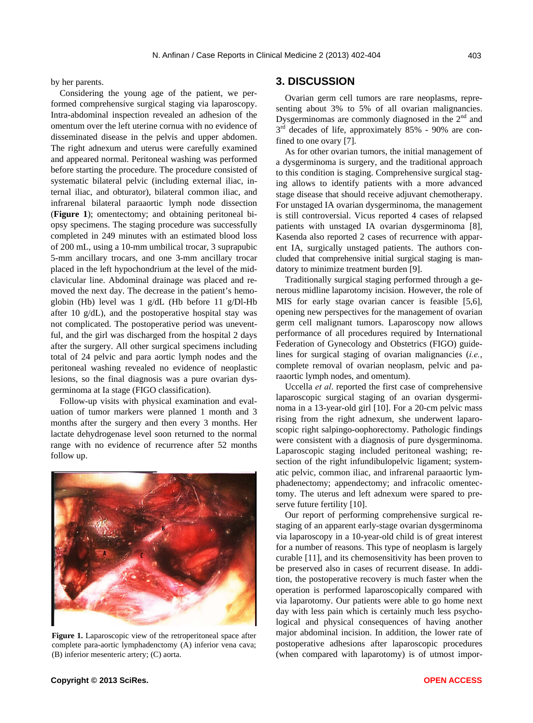by her parents.

Considering the young age of the patient, we performed comprehensive surgical staging via laparoscopy. Intra-abdominal inspection revealed an adhesion of the omentum over the left uterine cornua with no evidence of disseminated disease in the pelvis and upper abdomen. The right adnexum and uterus were carefully examined and appeared normal. Peritoneal washing was performed before starting the procedure. The procedure consisted of systematic bilateral pelvic (including external iliac, internal iliac, and obturator), bilateral common iliac, and infrarenal bilateral paraaortic lymph node dissection (**Figure 1**); omentectomy; and obtaining peritoneal biopsy specimens. The staging procedure was successfully completed in 249 minutes with an estimated blood loss of 200 mL, using a 10-mm umbilical trocar, 3 suprapubic 5-mm ancillary trocars, and one 3-mm ancillary trocar placed in the left hypochondrium at the level of the midclavicular line. Abdominal drainage was placed and removed the next day. The decrease in the patient's hemoglobin (Hb) level was 1 g/dL (Hb before 11 g/Dl-Hb after 10 g/dL), and the postoperative hospital stay was not complicated. The postoperative period was uneventful, and the girl was discharged from the hospital 2 days after the surgery. All other surgical specimens including total of 24 pelvic and para aortic lymph nodes and the peritoneal washing revealed no evidence of neoplastic lesions, so the final diagnosis was a pure ovarian dysgerminoma at Ia stage (FIGO classification).

Follow-up visits with physical examination and evaluation of tumor markers were planned 1 month and 3 months after the surgery and then every 3 months. Her lactate dehydrogenase level soon returned to the normal range with no evidence of recurrence after 52 months follow up.



**Figure 1.** Laparoscopic view of the retroperitoneal space after complete para-aortic lymphadenctomy (A) inferior vena cava; (B) inferior mesenteric artery; (C) aorta.

# **3. DISCUSSION**

Ovarian germ cell tumors are rare neoplasms, representing about 3% to 5% of all ovarian malignancies. Dysgerminomas are commonly diagnosed in the  $2<sup>nd</sup>$  and  $3<sup>rd</sup>$  decades of life, approximately 85% - 90% are confined to one ovary [7].

As for other ovarian tumors, the initial management of a dysgerminoma is surgery, and the traditional approach to this condition is staging. Comprehensive surgical staging allows to identify patients with a more advanced stage disease that should receive adjuvant chemotherapy. For unstaged IA ovarian dysgerminoma, the management is still controversial. Vicus reported 4 cases of relapsed patients with unstaged IA ovarian dysgerminoma [8], Kasenda also reported 2 cases of recurrence with apparent IA, surgically unstaged patients. The authors concluded that comprehensive initial surgical staging is mandatory to minimize treatment burden [9].

Traditionally surgical staging performed through a generous midline laparotomy incision. However, the role of MIS for early stage ovarian cancer is feasible [5,6], opening new perspectives for the management of ovarian germ cell malignant tumors. Laparoscopy now allows performance of all procedures required by International Federation of Gynecology and Obstetrics (FIGO) guidelines for surgical staging of ovarian malignancies (*i.e.*, complete removal of ovarian neoplasm, pelvic and paraaortic lymph nodes, and omentum).

Uccella *et al*. reported the first case of comprehensive laparoscopic surgical staging of an ovarian dysgerminoma in a 13-year-old girl [10]. For a 20-cm pelvic mass rising from the right adnexum, she underwent laparoscopic right salpingo-oophorectomy. Pathologic findings were consistent with a diagnosis of pure dysgerminoma. Laparoscopic staging included peritoneal washing; resection of the right infundibulopelvic ligament; systematic pelvic, common iliac, and infrarenal paraaortic lymphadenectomy; appendectomy; and infracolic omentectomy. The uterus and left adnexum were spared to preserve future fertility [10].

Our report of performing comprehensive surgical restaging of an apparent early-stage ovarian dysgerminoma via laparoscopy in a 10-year-old child is of great interest for a number of reasons. This type of neoplasm is largely curable [11], and its chemosensitivity has been proven to be preserved also in cases of recurrent disease. In addition, the postoperative recovery is much faster when the operation is performed laparoscopically compared with via laparotomy. Our patients were able to go home next day with less pain which is certainly much less psychological and physical consequences of having another major abdominal incision. In addition, the lower rate of postoperative adhesions after laparoscopic procedures (when compared with laparotomy) is of utmost impor